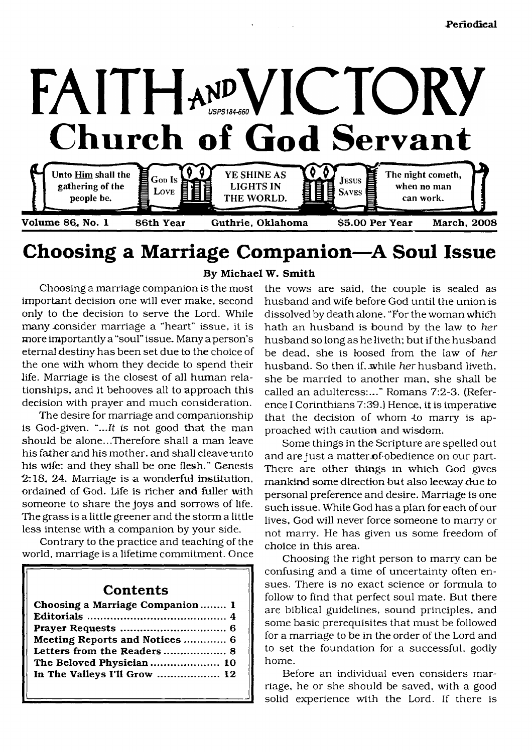

# <span id="page-0-0"></span>**Choosing a Marriage Companion—A Soul Issue**

Choosing a marriage companion is the most important decision one will ever make, second only to the decision to serve the Lord. While many consider marriage a "heart" issue, it is more importantly a "soul" issue. Many a person's eternal destiny has been set due to the choice of the one with whom they decide to spend their life. Marriage is the closest of all human relationships, and it behooves all to approach this decision with prayer and much consideration.

The desire for marriage and companionship is God-given. *"...It is* not good that the man should be alone...Therefore shall a man leave his father and his mother, and shall cleave unto his wife: and they shall be one flesh." Genesis  $2:18$ , 24. Marriage is a wonderful institution, ordained of God. Life is richer and fuller with someone to share the joys and sorrows of life. The grass is a little greener and the storm a little less intense with a companion by your side.

Contrary to the practice and teaching of the world, marriage is a lifetime commitment. Once

## **Contents**

| Choosing a Marriage Companion 1 |  |
|---------------------------------|--|
|                                 |  |
|                                 |  |
| Meeting Reports and Notices  6  |  |
| Letters from the Readers 8      |  |
| The Beloved Physician  10       |  |
| In The Valleys I'll Grow  12    |  |
|                                 |  |

#### **By Michael W. Smith**

the vows are said, the couple is sealed as husband and wife before God until the union is dissolved by death alone. "For the woman which hath an husband is bound by the law to *her* husband so long as he liveth; but if the husband be dead, she is loosed from the law of *her* husband. So then if. while *her* husband liveth, she be married to another man, she shall be called an adulteress:..." Romans 7:2-3. (Reference I Corinthians 7:39.) Hence, it is imperative that the decision of whom to marry is approached with caution and wisdom.

Some things in the Scripture are spelled out and are just a matter-of-obedience on our part. There are other things in which God gives mankind some direction but also leeway due to personal preference and desire. Marriage is one such issue. While God has a plan for each of our lives, God will never force someone to marry or not marry. He has given us some freedom of choice in this area.

Choosing the right person to marry can be confusing and a time of uncertainty often ensues. There is no exact science or formula to follow to find that perfect soul mate. But there are biblical guidelines, sound principles, and some basic prerequisites that must be followed for a marriage to be in the order of the Lord and to set the foundation for a successful, godly home.

Before an individual even considers marriage, he or she should be saved, with a good solid experience with the Lord. If there is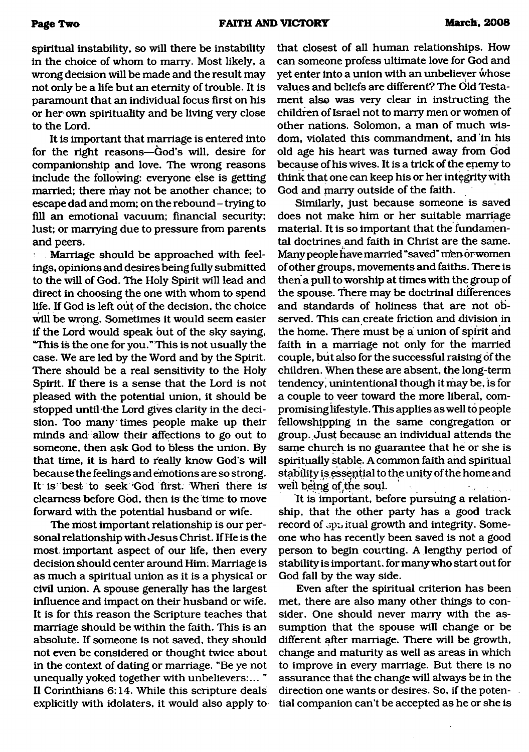spiritual instability, so will there be instability in the choice of whom to marry. Most likely, a wrong decision will be made and the result may not only be a life but an eternity of trouble. It is paramount that an individual focus first on his or her own spirituality and be living very close to the Lord.

It is important that marriage is entered into for the right reasons—God's will, desire for companionship and love. The wrong reasons include the following: everyone else is getting married; there may not be another chance; to escape dad and mom; on the rebound - trying to fill an emotional vacuum; financial security; lust; or marrying due to pressure from parents and peers.

Marriage should be approached with feelings, opinions and desires being fully submitted to the will of God. The Holy Spirit will lead and direct in choosing the one with whom to spend life. If God is left out of the decision, the choice will be wrong. Sometimes it would seem easier if the Lord would speak but of the sky saying, "This is the one for you." This is not usually the case. We are led by the Word and by the Spirit. There should be a real sensitivity to the Holy Spirit. If there is a sense that the Lord is not pleased with the potential union, it should be stopped until-the Lord gives clarity in the decision. Too many times people make up their minds and allow their affections to go out to someone, then ask God to bless the union. By that time, it is hard to really know God's will because the feelings and emotions are so strong. It is' best to seek 'God first. When there is clearness before God, then is the time to move forward with the potential husband or wife.

The most important relationship is our personal relationship with Jesus Christ. If He is the most important aspect of our life, then every decision should center around Him. Marriage is as much a spiritual union as it is a physical or civil union. A spouse generally has the largest influence and impact on their husband or wife. It is for this reason the Scripture teaches that marriage should be within the faith. This is an absolute. If someone is not saved, they should not even be considered or thought twice about in the context of dating or marriage. "Be ye not unequally yoked together with unbelievers:... " II Corinthians 6:14. While this scripture deals explicitly with idolaters, it would also apply to that closest of all human relationships. How can someone profess ultimate love for God and yet enter into a union with an unbeliever whose values and beliefs are different? The Old Testament also was very clear in instructing the children of Israel not to marry men or wofnen of other nations. Solomon, a man of much wisdom, violated this commandment, and in his old age his heart was turned away from God because of his wives. It is a trick of the enemy to think that one can keep his or her integrity with God and marry outside of the faith.

Similarly, just because someone is saved does not make him or her suitable marriage material. It is so important that the fundamental doctrines and faith in Christ are the same. Many people have married "saved" men or women of other groups, movements and faiths. There is then a pull to worship at times with the group of the spouse. There may be doctrinal differences and standards of holiness that are not observed. This can create friction and division in the home. There must be a union of spirit and faith in a marriage not only for the married couple, but also for the successful raising of the children. When these are absent, the long-term tendency, unintentional though it may be, is for a couple to veer toward the more liberal, compromising lifestyle. This applies as well to people fellowshipping in the same congregation or group. Just because an individual attends the same church is no guarantee that he or she is spiritually stable. A common faith and spiritual stability is essential to the unity of the home and well being of the soul.  $\hat{\mathcal{L}}_k$  $\ddotsc$ 

It is important, before pursuing a relationship, that the other party has a good track record of aphitual growth and integrity. Someone who has recently been saved is not a good person to begin courting. A lengthy period of stability is important, for many who start out for God fall by the way side.

Even after the spiritual criterion has been met, there are also many other things to consider. One should never marry with the assumption that the spouse will change or be different after marriage. There will be growth, change and maturity as well as areas in which to improve in every marriage. But there is no assurance that the change will always be in the direction one wants or desires. So, if the potential companion can't be accepted as he or she is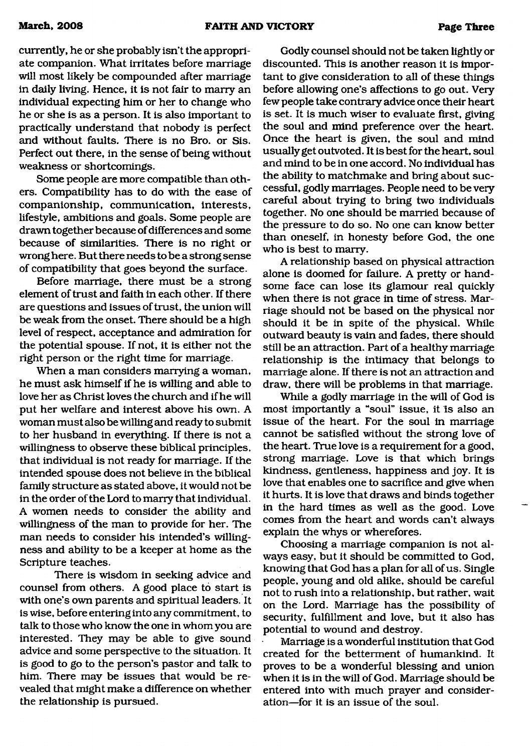currently, he or she probably isn't the appropriate companion. What irritates before marriage will most likely be compounded after marriage in daily living. Hence, it is not fair to marry an individual expecting him or her to change who he or she is as a person. It is also important to practically understand that nobody is perfect and without faults. There is no Bro. or Sis. Perfect out there, in the sense of being without weakness or shortcomings.

Some people are more compatible than others. Compatibility has to do with the ease of companionship, communication, interests, lifestyle, ambitions and goals. Some people are drawn together because of differences and some because of similarities. There is no right or wrong here. But there needs to be a strong sense of compatibility that goes beyond the surface.

Before marriage, there must be a strong element of trust and faith in each other. If there are questions and issues of trust, the union will be weak from the onset. There should be a high level of respect, acceptance and admiration for the potential spouse. If not, it is either not the right person or the right time for marriage.

When a man considers marrying a woman, he must ask himself if he is willing and able to love her as Christ loves the church and if he will put her welfare and interest above his own. A woman must also be willing and ready to submit to her husband in everything. If there is not a willingness to observe these biblical principles, that individual is not ready for marriage. If the intended spouse does not believe in the biblical family structure as stated above, it would not be in the order of the Lord to marry that individual. A women needs to consider the ability and willingness of the man to provide for her. The man needs to consider his intended's willingness and ability to be a keeper at home as the Scripture teaches.

There is wisdom in seeking advice and counsel from others. A good place to start is with one's own parents and spiritual leaders. It is wise, before entering into any commitment, to talk to those who know the one in whom you are interested. They may be able to give sound advice and some perspective to the situation. It is good to go to the person's pastor and talk to him. There may be issues that would be revealed that might make a difference on whether the relationship is pursued.

Godly counsel should not be taken lightly or discounted. This is another reason it is important to give consideration to all of these things before allowing one's affections to go out. Very few people take contrary advice once their heart is set. It is much wiser to evaluate first, giving the soul and mind preference over the heart. Once the heart is given, the soul and mind usually get outvoted. It is best for the heart, soul and mind to be in one accord. No individual has the ability to matchmake and bring about successful, godly marriages. People need to be very careful about trying to bring two individuals together. No one should be married because of the pressure to do so. No one can know better than oneself, in honesty before God, the one who is best to marry.

A relationship based on physical attraction alone is doomed for failure. A pretty or handsome face can lose its glamour real quickly when there is not grace in time of stress. Marriage should not be based on the physical nor should it be in spite of the physical. While outward beauty is vain and fades, there should still be an attraction. Part of a healthy marriage relationship is the intimacy that belongs to marriage alone. If there is not an attraction and draw, there will be problems in that marriage.

While a godly marriage in the will of God is most importantly a "soul" issue, it Is also an issue of the heart. For the soul in marriage cannot be satisfied without the strong love of the heart. True love is a requirement for a good, strong marriage. Love is that which brings kindness, gentleness, happiness and joy. It is love that enables one to sacrifice and give when it hurts. It is love that draws and binds together in the hard times as well as the good. Love comes from the heart and words can't always explain the whys or wherefores.

Choosing a marriage companion is not always easy, but it should be committed to God, knowing that God has a plan for all of us. Single people, young and old alike, should be careful not to rush into a relationship, but rather, wait on the Lord. Marriage has the possibility of security, fulfillment and love, but it also has potential to wound and destroy.

Marriage is a wonderful institution that God created for the betterment of humankind. It proves to be a wonderful blessing and union when it is in the will of God. Marriage should be entered into with much prayer and consideration—for it is an issue of the soul.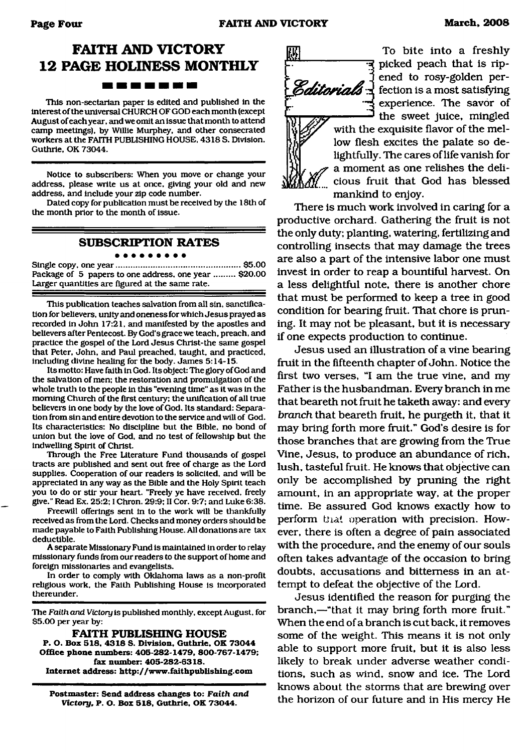## **FAITH AND VICTORY 12 PAGE HOLINESS MONTHLY** -------

This non-sectarian paper is edited and published in the interest of the universal CHURCH OF GOD each month (except August of each year, and we omit an issue that month to attend camp meetings), by Willie Murphey, and other consecrated workers at the FAITH PUBLISHING HOUSE, 4318 S. Division. Guthrie, OK 73044.

Notice to subscribers: When you move or change your address, please write us at once, giving your old and new address, and include your zip code number.

Dated copy for publication must be received by the 18th of the month prior to the month of issue.

#### **SUBSCRIPTION RATES** . . . . . . . . .

Single copy, one year......................................................\$5.00 Package of 5 papers to one address, one year ......... \$20.00 Larger quantities are figured at the same rate.

This publication teaches salvation from all sin, sanctification for believers, unity and oneness for which Jesus prayed as recorded in John 17:21, and manifested by the apostles and believers after Pentecost. By God's grace we teach, preach, and practice the gospel of the Lord Jesus Christ-the same gospel that Peter, John, and Paul preached, taught, and practiced, including divine healing for the body. James 5:14-15.

Its motto: Have faith in God. Its object: The glory of God and the salvation of men: the restoration and promulgation of the whole truth to the people in this "evening time" as it was in the morning Church of the first century; the unification of all true believers in one body by the love of God. Its standard: Separation from sin and entire devotion to the service and will of God. Its characteristics: No discipline but the Bible, no bond of union but the love of God, and no test of fellowship but the indwelling Spirit of Christ.

Through the Free Literature Fund thousands of gospel tracts are published and sent out free of charge as the Lord supplies. Cooperation of our readers is solicited, and will be appreciated in any way as the Bible and the Holy Spirit teach you to do or stir your heart. "Freely ye have received, freely give." Read Ex. 25:2; I Chron. 29:9; II Cor. 9:7; and Luke 6:38.

Freewill offerings sent in to the work will be thankfully received as from the Lord. Checks and money orders should be made payable to Faith Publishing House. All donations are tax deductible.

A separate Missionary Fund is maintained in order to relay missionary funds from our readers to the support of home and foreign missionaries and evangelists.

In order to comply with Oklahoma laws as a non-profit religious work, the Faith Publishing House is incorporated thereunder.

The *Faith and Victory* is published monthly, except August, for \$5.00 per year by:

**FAITH PUBLISHING HOUSE P. O. Box 518, 4318 S. Division. Guthrie. OK 73044 Office phone numbers: 405-282-1479, 800-767-1479; fax number: 405-282-6318. Internet address: <http://www.faithpublishing.com>**

**Postmaster: Send address changes to:** *Faith and Victory,* **P. O. Box 518, Guthrie. OK 73044.**



To bite into a freshly picked peach that is ripened to rosy-golden per- $\mathscr{E}\textit{ditionials}$   $\frac{1}{1}$  fection is a most satisfying experience. The savor of the sweet juice, mingled with the exquisite flavor of the mellow flesh excites the palate so de-*\* The cares of life vanish for lightfull; a moment as one relishes the deli-*M*<sub>c</sub> cious fruit that God has blessed mankind to enjoy.

There is much work involved in caring for a productive orchard. Gathering the fruit is not the only duty; planting, watering, fertilizing and controlling insects that may damage the trees are also a part of the intensive labor one must invest in order to reap a bountiful harvest. On a less delightful note, there is another chore that must be performed to keep a tree in good condition for bearing fruit. That chore is pruning. It may not be pleasant, but it is necessary if one expects production to continue.

Jesus used an illustration of a vine bearing fruit in the fifteenth chapter of John. Notice the first two verses, "I am the true vine, and my Father is the husbandman. Every branch in me that beareth not fruit he taketh away: and every *branch* that beareth fruit, he purgeth it, that it may bring forth more fruit." God's desire is for those branches that are growing from the True Vine, Jesus, to produce an abundance of rich, lush, tasteful fruit. He knows that objective can only be accomplished by pruning the right amount, in an appropriate way, at the proper time. Be assured God knows exactly how to perform that operation with precision. However, there is often a degree of pain associated with the procedure, and the enemy of our souls often takes advantage of the occasion to bring doubts, accusations and bitterness in an attempt to defeat the objective of the Lord.

Jesus identified the reason for purging the branch,—"that it may bring forth more fruit." When the end of a branch is cut back, it removes some of the weight. This means it is not only able to support more fruit, but it is also less likely to break under adverse weather conditions, such as wind, snow and ice. The Lord knows about the storms that are brewing over the horizon of our future and in His mercy He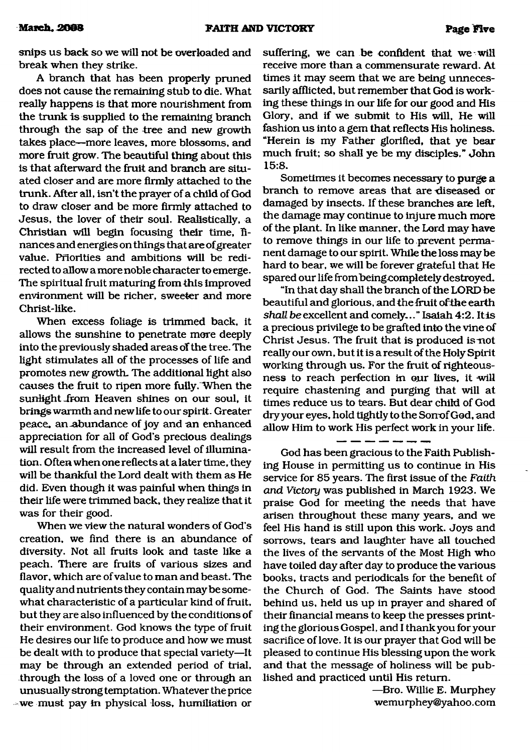snips us back so we will not be overloaded and break when they strike.

A branch that has been properly pruned does not cause the remaining stub to die. What really happens is that more nourishment from the trunk is supplied to the remaining branch through the sap of the tree and new growth takes place—more leaves, more blossoms, and more fruit grow. The beautiful thing about this is that afterward the fruit and branch are situated closer and are more firmly attached to the trunk. After all, isn't the prayer of a child of God to draw closer and be more firmly attached to Jesus, the lover of their soul. Realistically, a Christian will begin focusing their time, finances and energies on things that are ofgreater value. Priorities and ambitions will be redirected to allow a more noble character to emerge. The spiritual fruit maturing from this improved environment will be richer, sweeter and more Christ-like.

When excess foliage is trimmed back, it allows the sunshine to penetrate more deeply into the previously shaded areas of the tree. The light stimulates all of the processes of life and promotes new growth. The additional light also causes the fruit to ripen more fully.When the sunlight from Heaven shines on our soul, it brings warmth and new life to our spirit. Greater peace, an-abundance of joy and an enhanced appreciation for all of God's precious dealings will result from the increased level of illumination. Often when one reflects at a later time, they will be thankful the Lord dealt with them as He did. Even though it was painful when things in their life were trimmed back, they realize that it was for their good.

When we view the natural wonders of God's creation, we find there is an abundance of diversity. Not all fruits look and taste like a peach. There are fruits of various sizes and flavor, which are of value to man and beast. The quality and nutrients they contain may be somewhat characteristic of a particular kind of fruit, but they are also influenced by the conditions of their environment. God knows the type of fruit He desires our life to produce and how we must be dealt with to produce that special variety—It may be through an extended period of trial, through the loss of a loved one or through an unusually strong temptation. Whatever the price we must pay in physical loss, humiliation or

suffering, we can be confident that we will receive more than a commensurate reward. At times it may seem that we are being unnecessarily afflicted, but remember that God is working these things in our life for our good and His Glory, and if we submit to His will, He will fashion us into a gem that reflects His holiness. "Herein is my Father glorified, that ye bear much fruit; so shall ye be my disciples." John 15:8.

Sometimes it becomes necessary to purge a branch to remove areas that are diseased or damaged by insects. If these branches are left, the damage may continue to injure much more of the plant. In like manner, the Lord may have to remove things in our life to prevent permanent damage to our spirit. While the loss may be hard to bear, we will be forever grateful that He spared our life frombeingcompletely destroyed.

"In that day shall the branch of the LORD be beautiful and glorious, and the fruit ofthe earth shall be excellent and comely..." Isaiah 4:2. It is a precious privilege to be grafted into the vine of Christ Jesus. The fruit that is produced is-not really our own, but it is a result of the Holy Spirit working through us. For the fruit of righteousness to reach perfection in our lives, it will require chastening and purging that will at times reduce us to tears. But dear child of God dry your eyes, hold tightly to the Sorrof God, and allow Him to work His perfect work in your life.

#### --------

God has been gracious to the Faith Publishing House in permitting us to continue in His service for 85 years. The first issue of the *Faith and Victory* was published in March 1923. We praise God for meeting the needs that have arisen throughout these many years, and we feel His hand is still upon this work. Joys and sorrows, tears and laughter have all touched the lives of the servants of the Most High who have toiled day after day to produce the various books, tracts and periodicals for the benefit of the Church of God. The Saints have stood behind us, held us up in prayer and shared of their financial means to keep the presses printing the glorious Gospel, and I thank you for your sacrifice of love. It is our prayer that God will be pleased to continue His blessing upon the work and that the message of holiness will be published and practiced until His return.

> —Bro. Willie E. Murphey [wemurphey@yahoo.com](mailto:wemurphey@yahoo.com)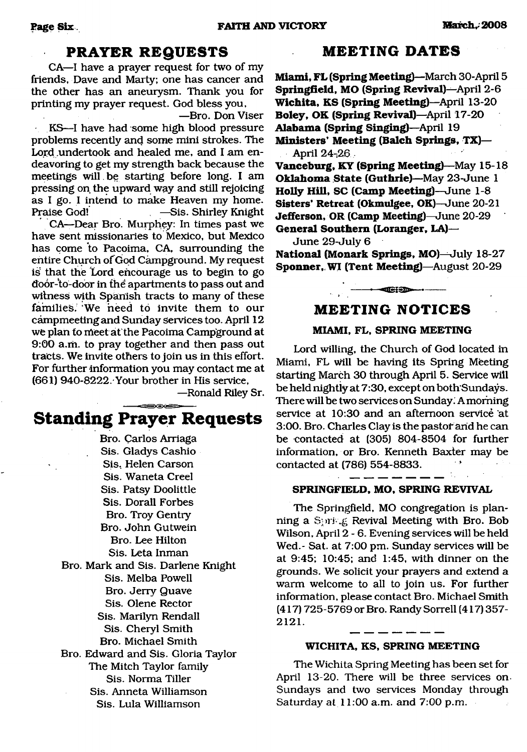## **PRAYER REQUESTS**

<span id="page-5-0"></span>CA—I have a prayer request for two of my friends, Dave and Marty; one has cancer and the other has an aneurysm. Thank you for printing my prayer request. God bless you,

—Bro. Don Viser KS—I have had some high blood pressure problems recently and some mini strokes. The Lord undertook and healed me, and I am endeavoring to get my strength back because the

meetings will be starting before long. I am pressing on the upward way and still rejoicing as I go. I intend to make Heaven my home. Praise God! —Sis. Shirley Knight

CA—Dear Bro. Murphey: In times past we have sent missionaries to Mexico, but Mexico has come to Pacoima, CA, surrounding the entire Church of God Campground. My request iS that the Lord encourage us to begin to go door-to-door in the apartments to pass out and witness with Spanish tracts to many of these families. 'We need to invite them to our campmeeting and Sunday services too. April 12 we plan to meet at the Pacoima Campground at 9:00 a.m. to pray together and then pass out tracts. We invite others to join us in this effort. For further information you may contact me at (661) 940-8222.'Your brother in His service,

—Ronald Riley Sr.

## **Standing Prayer Requests**

Bro. Carlos Arriaga Sis. Gladys Cashio Sis, Helen Carson Sis. Waneta Creel Sis. Patsy Doolittle Sis. Dorall Forbes Bro. Troy Gentry Bro. John Gutwein Bro. Lee Hilton Sis. Leta Inman Bro. Mark and Sis. Darlene Knight Sis. Melba Powell Bro. Jerry Quave Sis. Olene Rector Sis. Marilyn Rendall Sis. Cheryl Smith Bro. Michael Smith Bro. Edward and Sis. Gloria Taylor The Mitch Taylor family Sis. Norma Tiller Sis. Anneta Williamson Sis. Lula Williamson

## **MEETING DATES**

**Miami, FL (Spring Meeting)**—March 30-April 5 **Springfield, MO (Spring Revival)—**April 2-6 **W ichita, KS (Spring Meeting)**—April 13-20 **Boley, OK (Spring Revival)**—April 17-20 **Alabama (Spring Singing)**—April 19 **Ministers' Meeting (Balch Springs, TX)--**April 24-26

**Vanceburg, KY (Spring Meeting)**—May 15-18 **Oklahoma State (Guthrie)**—May 23-June 1 **Holly Hill, SC (Camp Meeting)**—June 1-8 **Sisters' Retreat (Okmulgee, OK)—**June 20-21 **Jefferson, OR (Camp Meeting)—**June 20-29 **General Southern (Loranger, LA)—**

June 29-July 6

**National (Monark Springs, MO)—**July 18-27 **Sponner, WI (Tent Meeting)—August 20-29** 

---------------- -— — --------------------

## **MEETING NOTICES**

### **MIAMI, FL, SPRING MEETING**

Lord willing, the Church of God located in Miami, FL will be having its Spring Meeting starting March 30 through April 5. Service will be held nightly at 7:30, except on both'Sundays. There will be two services on Sunday. A morning service at 10:30 and an afternoon service at 3:00. Bro. Charles Clay is the pastor arid he can be contacted at (305) 804-8504 for further information, or Bro. Kenneth Baxter may be contacted at (786) 554-8833.

#### **SPRINGFIELD, MO, SPRING REVIVAL**

The Springfield, MO congregation is planning a Spring Revival Meeting with Bro. Bob Wilson, April 2-6. Evening services will be held Wed.- Sat. at 7:00 pm. Sunday services will be at 9:45; 10:45; and 1:45, with dinner on the grounds. We solicit your prayers and extend a warm welcome to all to join us. For further information, please contact Bro. Michael Smith (417) 725-5769 or Bro. Randy Sorrell (417) 357- **2121.**

#### **WICHITA, KS, SPRING MEETING**

The Wichita Spring Meeting has been set for April 13-20. There will be three services on Sundays and two services Monday through Saturday at 11:00 a.m. and 7:00 p.m.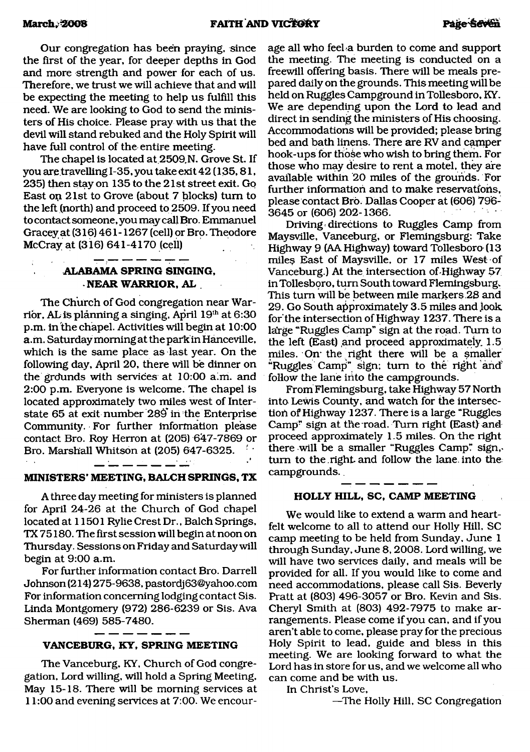Our congregation has been praying, since the first of the year, for deeper depths in God and more strength and power for each of us. Therefore, we trust we will achieve that and will be expecting the meeting to help us fulfill this need. We are looking to God to send the ministers of His choice. Please pray with us that the devil will stand rebuked and the Holy Spirit will have full control of the entire meeting.

The chapel is located at 2509.N. Grove St. If you are travelling 1-35, you take exit42 (135,81, 235) then stay on 135 to the 21st street exit. Go East on 21st to Grove (about 7 blocks) turn to the left (north) and proceed to 2509. If you need to contact someone, you may call Bro. Emmanuel Gracey at (316) 461-1267 (cell) or Bro. Theodore McCray at (316) 641-4170 (cell)

#### \_\_\_\_\_\_\_\_ **ALABAMA SPRING SINGING, NEAR WARRIOR, AL**

The Church of God congregation near Warrior, AL is planning a singing, April 19th at 6:30 p.m. in the chapel. Activities will begin at 10:00 a.m. Saturday morning at the park in Hanceville, which is the same place as last year. On the following day, April 20, there will be dinner on the grdunds with services at 10:00 aim. and 2:00 p.m. Everyone is welcome. The chapel is located approximately two miles west of Interstate 65 at exit number 289' in the Enterprise Community. For further information please contact Bro. Roy Herron at (205) 647-7869 or Bro. Marshall Whitson at (205) 647-6325. •

#### $-$

### **MINISTERS' MEETING, BALCH SPRINGS, TX**

A three day meeting for ministers is planned for April 24-26 at the Church of God chapel located at 11501 Rylie Crest Dr., Balch Springs, TX 75180. The first session will begin at noon on Thursday. Sessions on Friday and Saturday will begin at 9:00 a.m.

For further information contact Bro. Darrell Johnson (214) 275-9638, [pastordj63@yahoo.com](mailto:pastordj63@yahoo.com) For information concerning lodging contact Sis. Linda Montgomery (972) 286-6239 or Sis. Ava Sherman (469) 585-7480.

#### **VANCEBURG, KY, SPRING MEETING**

The Vanceburg, KY, Church of God congregation, Lord willing, will hold a Spring Meeting, May 15-18. There will be morning services at 11:00 and evening services at 7:00. We encourage all who feel a burden to come and support the meeting. The meeting is conducted on a freewill offering basis. There will be meals prepared daily on the grounds. This meeting will be held on Ruggles Campground in Tollesboro, KY. We are depending upon the Lord to lead and direct in sending the ministers of His choosing. Accommodations will be provided; please bring bed and bath linens. There are RV and camper hook-ups for those who wish to bring them. For those who may desire to rent a motel, they are available within 20 miles of the grounds. For further information and to make reservatfohs, please contact Bro. Dallas Cooper at (606) 796- 3645 or (606) 202-1366.

Driving directions to Ruggles Camp from Maysville, Vanceburg, or Flemingsburg: Take Highway 9 (AA Highway) toward Tollesboro (13 miles East of Maysville, or 17 miles West of Vanceburg.) At the intersection of-Highway 57 in Tollesboro, turn South toward Flemingsburg. This turn will be between mile markers .28 and 29. Go South approximately 3.5 miles and look. for'the intersection of Highway 1237. There is a large "Ruggles Camp" sign at the road. Turn to the left (East) and proceed approximately.  $1.5$ miles. On the right there will be a smaller "Ruggles Campi" sign; turn to the right and' follow the lane into the campgrounds.

From Flemingsburg, take Highway 57 North into Lewis County, and watch for the intersection of Highway 1237. There is a large "Ruggles Camp" sign at the road. Turn right (East) and proceed approximately 1.5 miles. On the right there will be a smaller "Ruggles Camp? sign,> turn to the right and follow the lane, into the campgrounds.

#### **HOLLY HILL, SC, CAMP MEETING**

We would like to extend a warm and heartfelt welcome to all to attend our Holly Hill, SC camp meeting to be held from Sunday, June 1 through Sunday, June 8,2008. Lord willing, we will have two services daily, and meals will be provided for all. If you would like to come and need accommodations, please call Sis. Beverly Pratt at (803) 496-3057 or Bro. Kevin and Sis. Cheryl Smith at (803) 492-7975 to make arrangements. Please come if you can, and if you aren't able to come, please pray for the precious Holy Spirit to lead, guide and bless in this meeting. We are looking forward to what the Lord has in store for us, and we welcome all who can come and be with us.

#### In Christ's Love,

—The Holly Hill, SC Congregation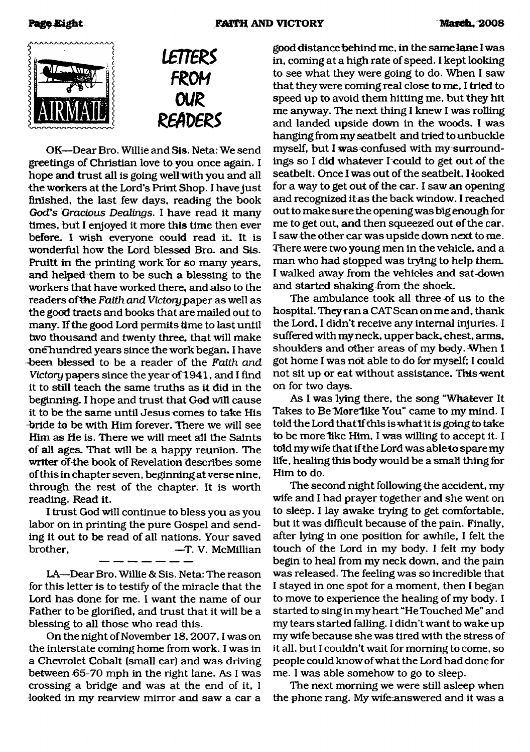



OK—Dear Bro. Willie and Sis. Neta: We send greetings of Christian love to you once again. I hope and trust all is going well with you and all the workers at the Lord's Print Shop. I have just finished, the last few days, reading the book *God's Gracious Dealings.* I have read it many times, but I enjoyed it more this time then ever before. I wish everyone could read it. It is wonderful how the Lord blessed Bro. and Sis. Pruitt in the printing work for so many years, and helped them to be such a blessing to the workers that have worked there, and also to the readers ofthe *Faith and Victory paper* as well as the good tracts and books that are mailed out to many. If the good Lord permits time to last until two thousand and twenty three, that will make one hundred years since the work began. I have -been blessed to be a reader of the *Faith and Victory* papers since the year of 1941, and I find it to still teach the same truths as it did in the beginning. I hope and trust that God will cause it to be the same until Jesus comes to take His -bride to be with Him forever. There we will see Him as He is. There we will meet all the Saints of all ages. That will be a happy reunion. The writer of the book of Revelation describes some of this in chapter seven, beginning at verse nine, through the rest of the chapter. It is worth reading. Read it.

I trust God will continue to bless you as you labor on in printing the pure Gospel and sending it out to be read of all nations. Your saved brother,  $-$ T. V. McMillian

LA—Dear Bro. Willie & Sis. Neta: The reason for this letter is to testify of the miracle that the Lord has done for me. I want the name of our Father to be glorified, and trust that it will be a blessing to all those who read this.

On the night of November 18,2007,1 was on the interstate coming home from work. I was in a Chevrolet Cobalt (small car) and was driving between 65-70 mph in the right lane. As I was crossing a bridge and was at the end of it, I looked in my rearview mirror and saw a car a good distance behind me, in the same lane I was in, coming at a high rate of speed. I kept looking to see what they were going to do. When I saw that they were coming real close to me, I tried to speed up to avoid them hitting me, but they hit me anyway. The next thing I knew I was rolling and landed upside down in the woods. I was hanging from my seatbelt and tried to unbuckle myself, but I was confused with my surroundings so I did whatever I could to get out of the seatbelt. Once I was out of the seatbelt. Hooked for a way to get out of the car. I saw an opening and recognized itas the back window. I reached out to make sure the opening was big enough for me to get out, and then squeezed out of the car. I saw the other car was upside down next to me. There were two young men in the vehicle, and a man who had stopped was trying to help them. I walked away from the vehicles and sat-down and started shaking from the shoek.

The ambulance took all three of us to the hospital. They ran a CAT Scan on me and, thank the Lord, I didn't receive any internal injuries. I suffered with my neck, upper back, chest, arms, shoulders and other areas of my body. When I got home I was not able to do for myself; I could not sit up or eat without assistance. This went on for two days.

As I was lying there, the song "Whatever It Takes to Be More like You" came to my mind. I told the Lord that if this is what it is going to take to be more like Him, I was willing to accept it. I told my wife that if the Lord was able to spare my life, healing this body would be a small thing for Him to do.

The second night following the accident, my wife and I had prayer together and she went on to sleep. I lay awake trying to get comfortable, but it was difficult because of the pain. Finally, after lying in one position for awhile, I felt the touch of the Lord in my body. I felt my body begin to heal from my neck down, and the pain was released. The feeling was so incredible that I stayed in one spot for a moment, then I began to move to experience the healing of my body. I started to sing in my heart "He Touched Me" and my tears started falling. I didn't want to wake up my wife because she was tired with the stress of it all, but I couldn't wait for morning to come, so people could know of what the Lord had done for me. I was able somehow to go to sleep.

The next morning we were still asleep when the phone rang. My wife-answered and it was a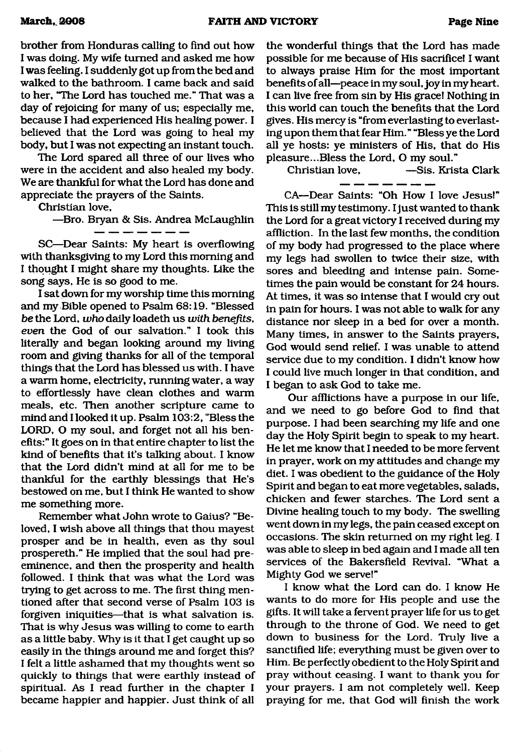brother from Honduras calling to find out how I was doing. My wife turned and asked me how I was feeling. I suddenly got up from the bed and walked to the bathroom. I came back and said to her, "The Lord has touched me." That was a day of rejoicing for many of us; especially me, because I had experienced His healing power. I believed that the Lord was going to heal my body, but I was not expecting an instant touch.

The Lord spared all three of our lives who were in the accident and also healed my body. We are thankful for what the Lord has done and appreciate the prayers of the Saints.

Christian love,

—Bro. Bryan & Sis. Andrea McLaughlin

SC—Dear Saints: My heart is overflowing with thanksgiving to my Lord this morning and I thought I might share my thoughts. Like the song says, He is so good to me.

I sat down for my worship time this morning and my Bible opened to Psalm 68:19. "Blessed *be* the Lord, *who* daily loadeth us *with benefits, even* the God of our salvation." I took this literally and began looking around my living room and giving thanks for all of the temporal things that the Lord has blessed us with. I have a warm home, electricity, running water, a way to effortlessly have clean clothes and warm meals, etc. Then another scripture came to mind and I looked it up. Psalm 103:2, "Bless the LORD, O my soul, and forget not all his benefits:" It goes on in that entire chapter to list the kind of benefits that it's talking about. I know that the Lord didn't mind at all for me to be thankful for the earthly blessings that He's bestowed on me, but I think He wanted to show me something more.

Remember what John wrote to Gaius? "Beloved, I wish above all things that thou mayest prosper and be in health, even as thy soul prospereth." He implied that the soul had preeminence, and then the prosperity and health followed. I think that was what the Lord was trying to get across to me. The first thing mentioned after that second verse of Psalm 103 is forgiven iniquities—that is what salvation is. That is why Jesus was willing to come to earth as a little baby. Why is it that I get caught up so easily in the things around me and forget this? I felt a little ashamed that my thoughts went so quickly to things that were earthly instead of spiritual. As I read further in the chapter I became happier and happier. Just think of all

the wonderful things that the Lord has made possible for me because of His sacrifice! I want to always praise Him for the most important benefits of all—peace in my soul, joy in my heart. I can live free from sin by His grace! Nothing in this world can touch the benefits that the Lord gives. His mercy is "from everlasting to everlasting upon them that fear Him." "Bless ye the Lord all ye hosts: ye ministers of His, that do His pleasure...Bless the Lord, O my soul."<br>Christian love. --Sis. Kris

-Sis. Krista Clark

CA—Dear Saints: "Oh How I love Jesus!" This is still my testimony. I just wanted to thank the Lord for a great victory I received during my affliction. In the last few months, the condition of my body had progressed to the place where my legs had swollen to twice their size, with sores and bleeding and intense pain. Sometimes the pain would be constant for 24 hours. At times, it was so intense that I would cry out in pain for hours. I was not able to walk for any distance nor sleep in a bed for over a month. Many times, in answer to the Saints prayers, God would send relief. I was unable to attend service due to my condition. I didn't know how I could live much longer in that condition, and I began to ask God to take me.

Our afflictions have a purpose in our life, and we need to go before God to find that purpose. I had been searching my life and one day the Holy Spirit begin to speak to my heart. He let me know that I needed to be more fervent in prayer, work on my attitudes and change my diet. I was obedient to the guidance of the Holy Spirit and began to eat more vegetables, salads, chicken and fewer starches. The Lord sent a Divine healing touch to my body. The swelling went down in my legs, the pain ceased except on occasions. The skin returned on my right leg. I was able to sleep in bed again and I made all ten services of the Bakersfield Revival. "What a Mighty God we serve!"

I know what the Lord can do. I know He wants to do more for His people and use the gifts. It will take a fervent prayer life for us to get through to the throne of God. We need to get down to business for the Lord. Truly live a sanctified life; everything must be given over to Him. Be perfectly obedient to the Holy Spirit and pray without ceasing. I want to thank you for your prayers. I am not completely well. Keep praying for me, that God will finish the work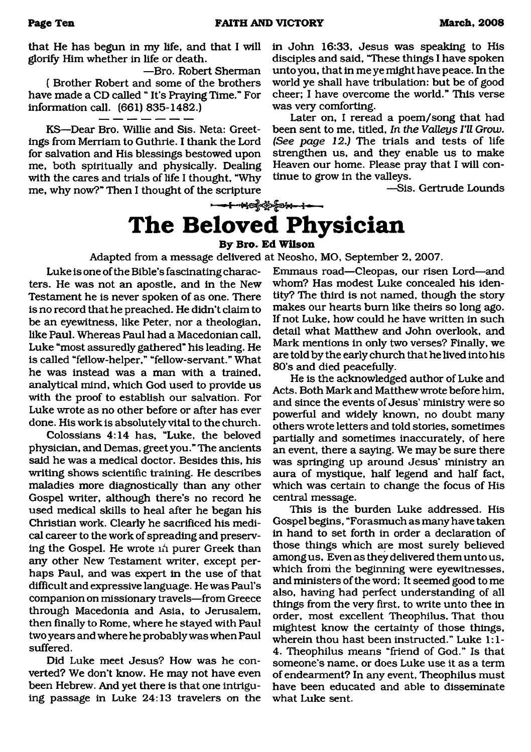that He has begun in my life, and that I will glorify Him whether in life or death.

—Bro. Robert Sherman ( Brother Robert and some of the brothers have made a CD called " It's Praying Time." For information call. (661) 835-1482.)

KS—Dear Bro. Willie and Sis. Neta: Greetings from Merriam to Guthrie. I thank the Lord for salvation and His blessings bestowed upon me, both spiritually and physically. Dealing with the cares and trials of life I thought, "Why me, why now?" Then I thought of the scripture

in John 16:33, Jesus was speaking to His disciples and said, "These things I have spoken unto you, that in me ye might have peace. In the world ye shall have tribulation: but be of good cheer; I have overcome the world." This verse was very comforting.

Later on, I reread a poem/song that had been sent to me, titled, *In the Valleys I'll Grow. (See page 12.)* The trials and tests of life strengthen us, and they enable us to make Heaven our home. Please pray that I will continue to grow in the valleys.

—Sis. Gertrude Lounds

# **The Beloved**

### **By Bro. Ed Wilson**

Adapted from a message delivered at Neosho, MO, September 2, 2007.

Luke is one of the Bible's fascinating characters. He was not an apostle, and in the New Testament he is never spoken of as one. There is no record that he preached. He didn't claim to be an eyewitness, like Peter, nor a theologian, like Paul. Whereas Paul had a Macedonian call, Luke "most assuredly gathered" his leading. He is called "fellow-helper," "fellow-servant." What he was instead was a man with a trained, analytical mind, which God used to provide us with the proof to establish our salvation. For Luke wrote as no other before or after has ever done. His work is absolutely vital to the church.

Colossians 4:14 has, "Luke, the beloved physician, and Demas, greet you." The ancients said he was a medical doctor. Besides this, his writing shows scientific training. He describes maladies more diagnostically than any other Gospel writer, although there's no record he used medical skills to heal after he began his Christian work. Clearly he sacrificed his medical career to the work of spreading and preserving the Gospel. He wrote ni purer Greek than any other New Testament writer, except perhaps Paul, and was expert in the use of that difficult and expressive language. He was Paul's companion on missionary travels—from Greece through Macedonia and Asia, to Jerusalem, then finally to Rome, where he stayed with Paul two years and where he probably was when Paul suffered.

Did Luke meet Jesus? How was he converted? We don't know. He may not have even been Hebrew. And yet there is that one intriguing passage in Luke 24:13 travelers cm the Emmaus road—Cleopas, our risen Lord—and whom? Has modest Luke concealed his identity? The third is not named, though the story makes our hearts bum like theirs so long ago. If not Luke, how could he have written in such detail what Matthew and John overlook, and Mark mentions in only two verses? Finally, we are told by the early church that he lived into his 80's and died peacefully.

He is the acknowledged author of Luke and Acts. Both Mark and Matthew wrote before him, and since the events of Jesus' ministiy were so powerful and widely known, no doubt many others wrote letters and told stories, sometimes partially and sometimes inaccurately, of here an event, there a saying. We may be sure there was springing up around Jesus' ministry an aura of mystique, half legend and half fact, which was certain to change the focus of His central message.

This is the burden Luke addressed. His Gospel begins, "Forasmuch as many have taken in hand to set forth in order a declaration of those things which are most surely believed among us, Even as they delivered them unto us, which from the beginning were eyewitnesses, and ministers of the word; It seemed good to me also, having had perfect understanding of all things from the very first, to write unto thee in order, most excellent Theophilus, That thou mightest know the certainty of those things, wherein thou hast been instructed." Luke 1:1- 4. Theophilus means "friend of God." Is that someone's name, or does Luke use it as a term of endearment? In any event, Theophilus must have been educated and able to disseminate what Luke sent.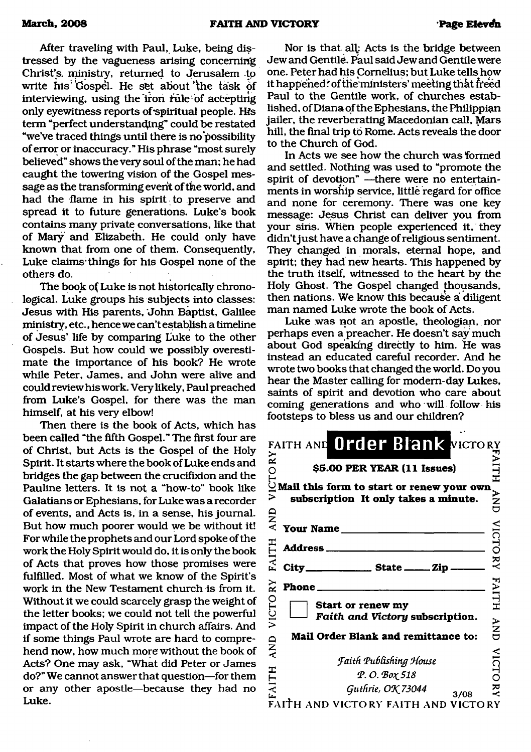After traveling with Paul, Luke, being distressed by the vagueness arising concerning Christ's, ministry, returned to Jerusalem .tp write his Gospel. He set about the task of interviewing, using the iron rule of accepting only eyewitness reports of spiritual people. His term "perfect understanding" could be restated "we've traced things until there is no possibility of error or inaccuracy." His phrase "most surely believed" shows the very soul of the man; he had caught the towering vision of the Gospel message as the transforming event of the world, and had the flame in his spirit to preserve and spread it to future generations. Luke's book contains many private conversations, like that of Mary and Elizabeth. He could only have known that from one of them. Consequently, Luke claims things for his Gospel none of the others do.

The book of Luke is not historically chronological. Luke groups his subjects into classes: Jesus with His parents, John Baptist, Galilee ministry, etc., hence we can't establish a timeline of Jesus' life by comparing Luke to the other Gospels. But how could we possibly overestimate the importance of his book? He wrote while Peter, James, and John were alive and could review his work. Very likely, Paul preached from Luke's Gospel, for there was the man himself, at his very elbow!

Then there is the book of Acts, which has been called "the fifth Gospel." The first four are of Christ, but Acts is the Gospel of the Holy Spirit. It starts where the book of Luke ends and bridges the gap between the crucifixion and the Pauline letters. It is not a "how-to" book like Galatians or Ephesians, for Luke was a recorder of events, and Acts is, in a sense, his journal. But how much poorer would we be without it! For while the prophets and our Lord spoke of the work the Holy Spirit would do, it is only the book of Acts that proves how those promises were fulfilled. Most of what we know of the Spirit's work in the New Testament church is from it. Without it we could scarcely grasp the weight of the letter books; we could not tell the powerful impact of the Holy Spirit in church affairs. And if some things Paul wrote are hard to comprehend now, how much more without the book of Acts? One may ask, "What did Peter or James do?" We cannot answer that question—for them or any other apostle—because they had no Luke.

Nor is that all,: Acts is the bridge between Jew and Gentile. Paul said Jew and Gentile were one. Peter had his Cornelius; but Luke tells how it happened: of the ministers' meeting that freed Paul to the Gentile work, of churches established, of Diana of the Ephesians, the Philippian jailer, the reverberating Macedonian call, Mars hill, the final trip **to** Rome. Acts reveals the door to the Church of God.

In Acts we see how the church was formed and settled. Nothing was used to "promote the spirit of devotion" —there were no entertainments in worship service, little regard for office and none for ceremony. There was one key message: Jesus Christ can deliver you from your sins. When people experienced it, they didn't just have a change of religious sentiment. They changed in morals, eternal hope, and spirit; they had new hearts. This happened by the truth itself, witnessed to the heart by the Holy Ghost. The Gospel changed thousands, then nations. We know this because a diligent man named Luke wrote the book of Acts.

Luke was not an apostle, theologian, nor perhaps even a preacher. He doesn't say much about God speaking directly to him. He was instead an educated careful recorder. And he wrote two books that changed the world. Do you hear the Master calling for modern-day Lukes, saints of spirit and devotion who care about coming generations and who will follow his footsteps to bless us and our children?

|              | FAITH AND Order Blank VICTORY                                                                                     |                |
|--------------|-------------------------------------------------------------------------------------------------------------------|----------------|
| ICTORY       | \$5.00 PER YEAR (11 Issues)                                                                                       | FAITH          |
|              | Mail this form to start or renew your own<br>subscription It only takes a minute.                                 | <b>ANA</b>     |
| AND          | Your Name                                                                                                         |                |
| <b>FAITH</b> | Address_                                                                                                          | <b>VICTORY</b> |
| City_        | ________________ State _______ Zip                                                                                |                |
| $\mathbf{z}$ | Phone_                                                                                                            | <b>FAITH</b>   |
| VICTO        | Start or renew my<br>Faith and Victory subscription.                                                              | <b>ANA</b>     |
| AND          | Mail Order Blank and remittance to:                                                                               |                |
| <b>FAITH</b> | <b>Faith Publishing House</b><br>P.O. Box 518<br>Guthrie, OK 73044<br>3/08<br>FAITH AND VICTORY FAITH AND VICTORY | VICTORY        |